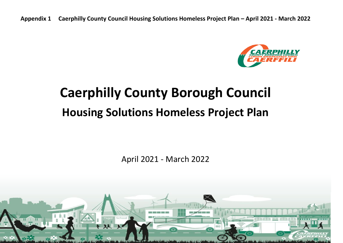

# **Caerphilly County Borough Council Housing Solutions Homeless Project Plan**

April 2021 - March 2022

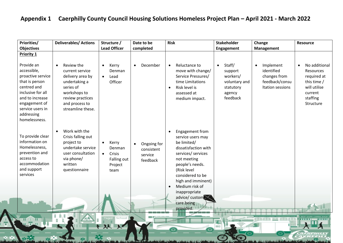| <b>Priorities/</b>                                                                                                                                                                          | <b>Deliverables/ Actions</b>                                                                                                                                            | Structure /<br><b>Lead Officer</b>                                                    | Date to be                                                    | <b>Risk</b>                                                                                                                                                                                                                                         | <b>Stakeholder</b>                                                                             | Change                                                                                     | <b>Resource</b>                                                                                                           |
|---------------------------------------------------------------------------------------------------------------------------------------------------------------------------------------------|-------------------------------------------------------------------------------------------------------------------------------------------------------------------------|---------------------------------------------------------------------------------------|---------------------------------------------------------------|-----------------------------------------------------------------------------------------------------------------------------------------------------------------------------------------------------------------------------------------------------|------------------------------------------------------------------------------------------------|--------------------------------------------------------------------------------------------|---------------------------------------------------------------------------------------------------------------------------|
| <b>Objectives</b><br><b>Priority 1</b>                                                                                                                                                      |                                                                                                                                                                         |                                                                                       | completed                                                     |                                                                                                                                                                                                                                                     | Engagement                                                                                     | Management                                                                                 |                                                                                                                           |
| Provide an<br>accessible,<br>proactive service<br>that is person<br>centred and<br>inclusive for all<br>and to increase<br>engagement of<br>service users in<br>addressing<br>homelessness. | Review the<br>$\bullet$<br>current service<br>delivery area by<br>undertaking a<br>series of<br>workshops to<br>review practices<br>and process to<br>streamline these. | Kerry<br>$\bullet$<br>Denman<br>Lead<br>$\bullet$<br>Officer                          | December<br>$\bullet$                                         | Reluctance to<br>$\bullet$<br>move with change/<br>Service Pressures/<br>time Limitations<br>Risk level is<br>$\bullet$<br>assessed at<br>medium impact.                                                                                            | Staff/<br>$\bullet$<br>support<br>workers/<br>voluntary and<br>statutory<br>agency<br>feedback | Implement<br>$\bullet$<br>identified<br>changes from<br>feedback/consu<br>Itation sessions | No additional<br>$\bullet$<br>Resources<br>required at<br>this time /<br>will utilise<br>current<br>staffing<br>Structure |
| To provide clear<br>information on<br>Homelessness,<br>prevention and<br>access to<br>accommodation<br>and support<br>services                                                              | Work with the<br>Crisis falling out<br>project to<br>undertake service<br>user consultation<br>via phone/<br>written<br>questionnaire                                   | Kerry<br>$\bullet$<br>Denman<br>Crisis<br>$\bullet$<br>Falling out<br>Project<br>team | Ongoing for<br>$\bullet$<br>consistent<br>service<br>feedback | Engagement from<br>service users may<br>be limited/<br>dissatisfaction with<br>services/ services<br>not meeting<br>people's needs.<br>(Risk level<br>considered to be<br>high and imminent)<br>Medium risk of<br>inappropriate<br>advice/ customer |                                                                                                |                                                                                            |                                                                                                                           |
|                                                                                                                                                                                             |                                                                                                                                                                         | School<br>双火                                                                          |                                                               | care being<br>provided.                                                                                                                                                                                                                             | (ev)                                                                                           | <b>INDEND ON ENDER</b>                                                                     |                                                                                                                           |

and the contract of the second contract of the second contract of

**ALCOHOL: VARI** 

 $\blacktriangle$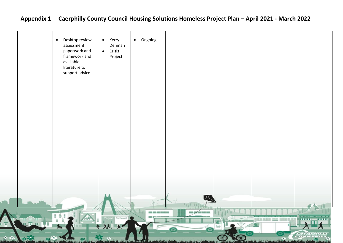| Desktop review<br>• Kerry<br>$\bullet$<br>Denman<br>assessment<br>paperwork and<br>$\bullet$ Crisis<br>framework and<br>Project<br>available<br>literature to<br>support advice | • Ongoing                 |                          |                                                                                                                                                                                                                               |
|---------------------------------------------------------------------------------------------------------------------------------------------------------------------------------|---------------------------|--------------------------|-------------------------------------------------------------------------------------------------------------------------------------------------------------------------------------------------------------------------------|
|                                                                                                                                                                                 |                           |                          |                                                                                                                                                                                                                               |
|                                                                                                                                                                                 | - 11                      |                          |                                                                                                                                                                                                                               |
| adi School<br>从火                                                                                                                                                                | $-1$ . Consequently, $-1$ | $\overline{\phantom{a}}$ | ding the second service of the service of the service of the service of the service of the service of the service of the service of the service of the service of the service of the service of the service of the service of |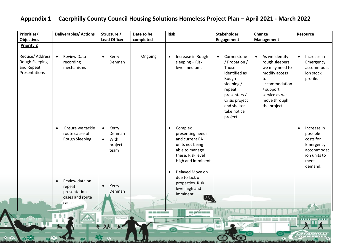| <b>Priorities/</b>                                               | <b>Deliverables/ Actions</b>                                                       | Structure /<br><b>Lead Officer</b>                                   | Date to be<br>completed | <b>Risk</b>                                                                                                                                                               | <b>Stakeholder</b>                                                                                                                                                   | Change                                                                                                                                                                | <b>Resource</b>                                                                                                 |
|------------------------------------------------------------------|------------------------------------------------------------------------------------|----------------------------------------------------------------------|-------------------------|---------------------------------------------------------------------------------------------------------------------------------------------------------------------------|----------------------------------------------------------------------------------------------------------------------------------------------------------------------|-----------------------------------------------------------------------------------------------------------------------------------------------------------------------|-----------------------------------------------------------------------------------------------------------------|
| <b>Objectives</b><br><b>Priority 2</b>                           |                                                                                    |                                                                      |                         |                                                                                                                                                                           | Engagement                                                                                                                                                           | <b>Management</b>                                                                                                                                                     |                                                                                                                 |
| Reduce/ Address<br>Rough Sleeping<br>and Repeat<br>Presentations | <b>Review Data</b><br>$\bullet$<br>recording<br>mechanisms                         | Kerry<br>$\bullet$<br>Denman                                         | Ongoing                 | Increase in Rough<br>$\bullet$<br>sleeping - Risk<br>level medium.                                                                                                        | • Cornerstone<br>/ Probation /<br>Those<br>identified as<br>Rough<br>sleeping /<br>repeat<br>presenters /<br>Crisis project<br>and shelter<br>take notice<br>project | As we identify<br>$\bullet$<br>rough sleepers,<br>we may need to<br>modify access<br>to<br>accommodation<br>/ support<br>service as we<br>move through<br>the project | Increase in<br>Emergency<br>accommodat<br>ion stock<br>profile.                                                 |
|                                                                  | Ensure we tackle<br>$\bullet$<br>route cause of<br><b>Rough Sleeping</b>           | Kerry<br>$\bullet$<br>Denman<br>With<br>$\bullet$<br>project<br>team |                         | Complex<br>$\bullet$<br>presenting needs<br>and current EA<br>units not being<br>able to manage<br>these. Risk level<br>High and imminent<br>Delayed Move on<br>$\bullet$ |                                                                                                                                                                      |                                                                                                                                                                       | Increase in<br>$\bullet$<br>possible<br>costs for<br>Emergency<br>accommodat<br>ion units to<br>meet<br>demand. |
|                                                                  | Review data on<br>$\bullet$<br>repeat<br>presentation<br>cases and route<br>causes | Kerry<br>$\bullet$<br>Denman                                         |                         | due to lack of<br>properties. Risk<br>level high and<br>imminent.                                                                                                         |                                                                                                                                                                      |                                                                                                                                                                       |                                                                                                                 |
|                                                                  |                                                                                    | School                                                               |                         |                                                                                                                                                                           |                                                                                                                                                                      | ithath <u>an</u> dheile tinni                                                                                                                                         |                                                                                                                 |
|                                                                  |                                                                                    | 双火                                                                   |                         |                                                                                                                                                                           |                                                                                                                                                                      |                                                                                                                                                                       |                                                                                                                 |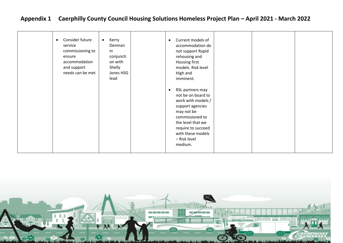| Consider future<br>$\bullet$<br>service<br>commissioning to<br>ensure<br>accommodation<br>and support<br>needs can be met | Kerry<br>$\bullet$<br>Denman<br>in<br>conjuncti<br>on with<br>Shelly<br>Jones HSG<br>lead | Current models of<br>$\bullet$<br>accommodation do<br>not support Rapid<br>rehousing and<br>Housing first<br>models. Risk level<br>High and<br>imminent.<br>RSL partners may<br>$\bullet$<br>not be on board to<br>work with models /<br>support agencies<br>may not be<br>commissioned to<br>the level that we<br>require to succeed<br>with these models<br>- Risk level<br>medium. |  |  |
|---------------------------------------------------------------------------------------------------------------------------|-------------------------------------------------------------------------------------------|---------------------------------------------------------------------------------------------------------------------------------------------------------------------------------------------------------------------------------------------------------------------------------------------------------------------------------------------------------------------------------------|--|--|
|---------------------------------------------------------------------------------------------------------------------------|-------------------------------------------------------------------------------------------|---------------------------------------------------------------------------------------------------------------------------------------------------------------------------------------------------------------------------------------------------------------------------------------------------------------------------------------------------------------------------------------|--|--|

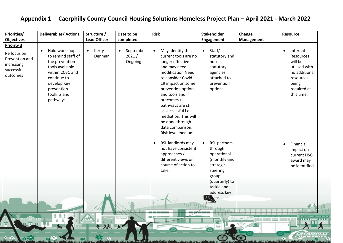| <b>Priorities/</b><br><b>Objectives</b>                                                    | <b>Deliverables/Actions</b>                                                                                                                                                        | Structure /<br><b>Lead Officer</b> | Date to be<br>completed         | <b>Risk</b>                                                                                                                                                                                                                                                                                                                                        | Stakeholder<br>Engagement                                                                                                                               | Change<br>Management | <b>Resource</b>                                                                                                                    |
|--------------------------------------------------------------------------------------------|------------------------------------------------------------------------------------------------------------------------------------------------------------------------------------|------------------------------------|---------------------------------|----------------------------------------------------------------------------------------------------------------------------------------------------------------------------------------------------------------------------------------------------------------------------------------------------------------------------------------------------|---------------------------------------------------------------------------------------------------------------------------------------------------------|----------------------|------------------------------------------------------------------------------------------------------------------------------------|
| <b>Priority 3</b><br>Re focus on<br>Prevention and<br>increasing<br>successful<br>outcomes | Hold workshops<br>$\bullet$<br>to remind staff of<br>the prevention<br>tools available<br>within CCBC and<br>continue to<br>develop Key<br>prevention<br>toolkits and<br>pathways. | Kerry<br>$\bullet$<br>Denman       | • September<br>2021/<br>Ongoing | May identify that<br>$\bullet$<br>current tools are no<br>longer effective<br>and may need<br>modification Need<br>to consider Covid<br>19 impact on some<br>prevention options<br>and tools and if<br>outcomes /<br>pathways are still<br>as successful i.e.<br>mediation. This will<br>be done through<br>data comparison.<br>Risk level medium. | Staff/<br>$\bullet$<br>statutory and<br>non-<br>statutory<br>agencies<br>attached to<br>prevention<br>options                                           |                      | Internal<br>$\bullet$<br>Resources<br>will be<br>utilised with<br>no additional<br>resources<br>being<br>required at<br>this time. |
|                                                                                            |                                                                                                                                                                                    |                                    |                                 | RSL landlords may<br>$\bullet$<br>not have consistent<br>approaches /<br>different views on<br>course of action to<br>take.                                                                                                                                                                                                                        | <b>RSL partners</b><br>through<br>operational<br>(monthly)and<br>strategic<br>steering<br>group<br>(quarterly) to<br>tackle and<br>address key<br>leas. |                      | Financial<br>$\bullet$<br>impact on<br>current HSG<br>award may<br>be identified.                                                  |
|                                                                                            |                                                                                                                                                                                    | 人人                                 | School<br>入                     |                                                                                                                                                                                                                                                                                                                                                    |                                                                                                                                                         |                      |                                                                                                                                    |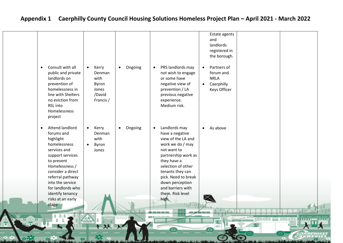| Consult with all<br>$\bullet$<br>public and private<br>landlords on<br>prevention of<br>homelessness in<br>line with Shelters<br>no eviction from<br>RSL into<br>Homelessness<br>project<br><b>Attend landlord</b><br>$\bullet$<br>forums and<br>highlight<br>homelessness | Kerry<br>$\bullet$<br>Denman<br>with<br>Byron<br>Jones<br>/David<br>Francis /<br>Kerry<br>$\bullet$<br>Denman<br>with<br>Byron<br>$\bullet$ | Ongoing<br>$\bullet$<br>Ongoing<br>$\bullet$ | PRS landlords may<br>$\bullet$<br>not wish to engage<br>or some have<br>negative view of<br>prevention / LA<br>previous negative<br>experience.<br>Medium risk.<br>Landlords may<br>$\bullet$<br>have a negative<br>view of the LA and<br>work we do / may | registered in<br>the borough.<br>Partners of<br>$\bullet$<br>forum and<br><b>NRLA</b><br>Caerphilly<br>$\bullet$<br>Keys Officer<br>As above<br>$\bullet$ |                                   |
|----------------------------------------------------------------------------------------------------------------------------------------------------------------------------------------------------------------------------------------------------------------------------|---------------------------------------------------------------------------------------------------------------------------------------------|----------------------------------------------|------------------------------------------------------------------------------------------------------------------------------------------------------------------------------------------------------------------------------------------------------------|-----------------------------------------------------------------------------------------------------------------------------------------------------------|-----------------------------------|
| services and<br>support services<br>to prevent<br>Homelessness /<br>consider a direct<br>referral pathway<br>into the service<br>for landlords who<br>identify tenancy<br>risks at an early<br>stage                                                                       | Jones                                                                                                                                       | School                                       | not want to<br>partnership work as<br>they have a<br>selection of other<br>tenants they can<br>pick. Need to break<br>down perception<br>and barriers with<br>them. Risk level<br>high                                                                     |                                                                                                                                                           | dinain <u>na</u> dinain i mm – mm |
|                                                                                                                                                                                                                                                                            | + XX X                                                                                                                                      |                                              |                                                                                                                                                                                                                                                            |                                                                                                                                                           |                                   |

The Manufacturer of the Contractor of the Contractor

A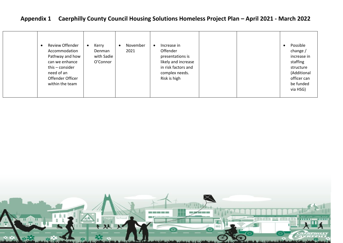| <b>Review Offender</b><br>Accommodation<br>Pathway and how<br>can we enhance<br>this $-$ consider<br>need of an<br>Offender Officer<br>within the team | Kerry<br>$\bullet$<br>Denman<br>with Sadie<br>O'Connor | November<br>2021 | Increase in<br>$\bullet$<br>Offender<br>presentations is<br>likely and increase<br>in risk factors and<br>complex needs.<br>Risk is high |  |  | Possible<br>$\bullet$<br>change /<br>increase in<br>staffing<br>structure<br>(Additional<br>officer can<br>be funded<br>via HSG) |
|--------------------------------------------------------------------------------------------------------------------------------------------------------|--------------------------------------------------------|------------------|------------------------------------------------------------------------------------------------------------------------------------------|--|--|----------------------------------------------------------------------------------------------------------------------------------|
|--------------------------------------------------------------------------------------------------------------------------------------------------------|--------------------------------------------------------|------------------|------------------------------------------------------------------------------------------------------------------------------------------|--|--|----------------------------------------------------------------------------------------------------------------------------------|

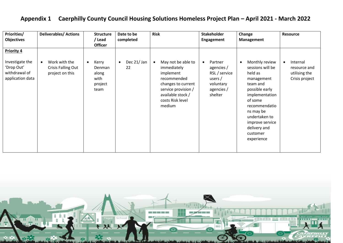| <b>Priorities/</b>                                                                      | <b>Deliverables/Actions</b>                            | <b>Structure</b>                                                 | Date to be                    | <b>Risk</b>                                                                                                                                                                | <b>Stakeholder</b>                                                                                     | Change                                                                                                                                                                                                                             | Resource                                                    |
|-----------------------------------------------------------------------------------------|--------------------------------------------------------|------------------------------------------------------------------|-------------------------------|----------------------------------------------------------------------------------------------------------------------------------------------------------------------------|--------------------------------------------------------------------------------------------------------|------------------------------------------------------------------------------------------------------------------------------------------------------------------------------------------------------------------------------------|-------------------------------------------------------------|
| <b>Objectives</b>                                                                       |                                                        | / Lead                                                           | completed                     |                                                                                                                                                                            | Engagement                                                                                             | Management                                                                                                                                                                                                                         |                                                             |
|                                                                                         |                                                        | <b>Officer</b>                                                   |                               |                                                                                                                                                                            |                                                                                                        |                                                                                                                                                                                                                                    |                                                             |
| <b>Priority 4</b><br>Investigate the<br>'Drop Out'<br>withdrawal of<br>application data | Work with the<br>Crisis Falling Out<br>project on this | Kerry<br>$\bullet$<br>Denman<br>along<br>with<br>project<br>team | Dec 21/Jan<br>$\bullet$<br>22 | May not be able to<br>$\bullet$<br>immediately<br>implement<br>recommended<br>changes to current<br>service provision /<br>available stock /<br>costs Risk level<br>medium | Partner<br>$\bullet$<br>agencies /<br>RSL / service<br>users $/$<br>voluntary<br>agencies /<br>shelter | Monthly review<br>sessions will be<br>held as<br>management<br>team and<br>possible early<br>implementation<br>of some<br>recommendatio<br>ns may be<br>undertaken to<br>improve service<br>delivery and<br>customer<br>experience | Internal<br>resource and<br>utilising the<br>Crisis project |
|                                                                                         |                                                        |                                                                  |                               |                                                                                                                                                                            |                                                                                                        |                                                                                                                                                                                                                                    |                                                             |
|                                                                                         |                                                        |                                                                  |                               |                                                                                                                                                                            |                                                                                                        |                                                                                                                                                                                                                                    |                                                             |

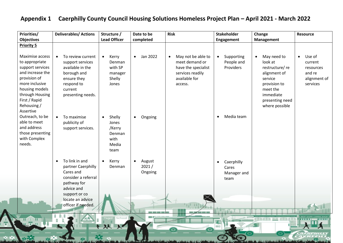| Priorities/<br><b>Objectives</b>                                                                                                                                                              | <b>Deliverables/ Actions</b>                                                                                                                       | Structure /<br><b>Lead Officer</b>                                        | Date to be<br>completed                 | <b>Risk</b>                                                                                                              | <b>Stakeholder</b><br>Engagement                        | Change<br>Management                                                                                                                                           | <b>Resource</b>                                                                   |
|-----------------------------------------------------------------------------------------------------------------------------------------------------------------------------------------------|----------------------------------------------------------------------------------------------------------------------------------------------------|---------------------------------------------------------------------------|-----------------------------------------|--------------------------------------------------------------------------------------------------------------------------|---------------------------------------------------------|----------------------------------------------------------------------------------------------------------------------------------------------------------------|-----------------------------------------------------------------------------------|
| <b>Priority 5</b>                                                                                                                                                                             |                                                                                                                                                    |                                                                           |                                         |                                                                                                                          |                                                         |                                                                                                                                                                |                                                                                   |
| Maximise access<br>to appropriate<br>support services<br>and increase the<br>provision of<br>more inclusive<br>housing models<br>through Housing<br>First / Rapid<br>Rehousing /<br>Assertive | To review current<br>$\bullet$<br>support services<br>available in the<br>borough and<br>ensure they<br>respond to<br>current<br>presenting needs. | $\bullet$<br>Kerry<br>Denman<br>with SP<br>manager<br>Shelly<br>Jones     | Jan 2022<br>$\bullet$                   | May not be able to<br>$\bullet$<br>meet demand or<br>have the specialist<br>services readily<br>available for<br>access. | Supporting<br>$\bullet$<br>People and<br>Providers      | May need to<br>$\bullet$<br>look at<br>restructure/re<br>alignment of<br>service<br>provision to<br>meet the<br>immediate<br>presenting need<br>where possible | Use of<br>$\bullet$<br>current<br>resources<br>and re<br>alignment of<br>services |
| Outreach, to be<br>able to meet<br>and address<br>those presenting<br>with Complex<br>needs.                                                                                                  | To maximise<br>$\bullet$<br>publicity of<br>support services.                                                                                      | Shelly<br>$\bullet$<br>Jones<br>/Kerry<br>Denman<br>with<br>Media<br>team | Ongoing<br>$\bullet$                    |                                                                                                                          | Media team<br>$\bullet$                                 |                                                                                                                                                                |                                                                                   |
|                                                                                                                                                                                               | To link in and<br>$\bullet$<br>partner Caerphilly<br>Cares and<br>consider a referral<br>pathway for<br>advice and<br>support or co                | Kerry<br>$\bullet$<br>Denman                                              | August<br>$\bullet$<br>2021/<br>Ongoing |                                                                                                                          | Caerphilly<br>$\bullet$<br>Cares<br>Manager and<br>team |                                                                                                                                                                |                                                                                   |
|                                                                                                                                                                                               | locate an advice<br>officer if needed.                                                                                                             |                                                                           |                                         |                                                                                                                          |                                                         |                                                                                                                                                                |                                                                                   |
|                                                                                                                                                                                               |                                                                                                                                                    | seal School<br>双                                                          |                                         |                                                                                                                          | (ev)                                                    | 点面数点面包                                                                                                                                                         | 1000000                                                                           |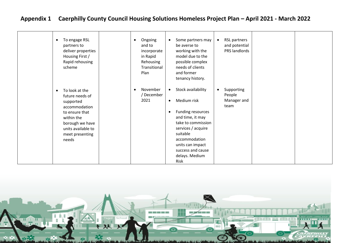| To engage RSL<br>partners to<br>deliver properties<br>Housing First /<br>Rapid rehousing<br>scheme                                                                                | Ongoing<br>$\bullet$<br>and to<br>incorporate<br>in Rapid<br>Rehousing<br>Transitional<br>Plan | Some partners may<br>$\bullet$<br>be averse to<br>working with the<br>model due to the<br>possible complex<br>needs of clients<br>and former<br>tenancy history.                                                                                      | RSL partners<br>and potential<br>PRS landlords           |  |
|-----------------------------------------------------------------------------------------------------------------------------------------------------------------------------------|------------------------------------------------------------------------------------------------|-------------------------------------------------------------------------------------------------------------------------------------------------------------------------------------------------------------------------------------------------------|----------------------------------------------------------|--|
| To look at the<br>$\bullet$<br>future needs of<br>supported<br>accommodation<br>to ensure that<br>within the<br>borough we have<br>units available to<br>meet presenting<br>needs | November<br>December<br>2021                                                                   | Stock availability<br>$\bullet$<br>Medium risk<br>$\bullet$<br>Funding resources<br>٠<br>and time, it may<br>take to commission<br>services / acquire<br>suitable<br>accommodation<br>units can impact<br>success and cause<br>delays. Medium<br>Risk | Supporting<br>$\bullet$<br>People<br>Manager and<br>team |  |

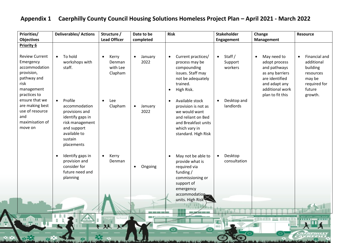| <b>Priorities/</b><br><b>Objectives</b>                                                                                | <b>Deliverables/ Actions</b>                                                                                                                           | Structure /<br><b>Lead Officer</b>                  | Date to be<br>completed      | <b>Risk</b>                                                                                                                                                         | <b>Stakeholder</b><br>Engagement           | Change<br>Management                                                                                                                                   | <b>Resource</b>                                                                                                  |
|------------------------------------------------------------------------------------------------------------------------|--------------------------------------------------------------------------------------------------------------------------------------------------------|-----------------------------------------------------|------------------------------|---------------------------------------------------------------------------------------------------------------------------------------------------------------------|--------------------------------------------|--------------------------------------------------------------------------------------------------------------------------------------------------------|------------------------------------------------------------------------------------------------------------------|
| <b>Priority 6</b>                                                                                                      |                                                                                                                                                        |                                                     |                              |                                                                                                                                                                     |                                            |                                                                                                                                                        |                                                                                                                  |
| <b>Review Current</b><br>Emergency<br>accommodation<br>provision,<br>pathway and<br>risk<br>management<br>practices to | To hold<br>$\bullet$<br>workshops with<br>staff.                                                                                                       | $\bullet$<br>Kerry<br>Denman<br>with Lee<br>Clapham | January<br>$\bullet$<br>2022 | Current practices/<br>$\bullet$<br>process may be<br>compounding<br>issues. Staff may<br>not be adequately<br>trained.<br>High Risk.<br>$\bullet$                   | Staff /<br>$\bullet$<br>Support<br>workers | May need to<br>$\bullet$<br>adopt process<br>and pathways<br>as any barriers<br>are identified<br>and adapt any<br>additional work<br>plan to fit this | Financial and<br>$\bullet$<br>additional<br>building<br>resources<br>may be<br>required for<br>future<br>growth. |
| ensure that we<br>are making best<br>use of resource<br>and<br>maximisation of<br>move on                              | Profile<br>$\bullet$<br>accommodation<br>provisions and<br>identify gaps in<br>risk management<br>and support<br>available to<br>sustain<br>placements | Lee<br>$\bullet$<br>Clapham                         | January<br>$\bullet$<br>2022 | Available stock<br>$\bullet$<br>provision is not as<br>we would want<br>and reliant on Bed<br>and Breakfast units<br>which vary in<br>standard. High Risk           | Desktop and<br>$\bullet$<br>landlords      |                                                                                                                                                        |                                                                                                                  |
|                                                                                                                        | Identify gaps in<br>$\bullet$<br>provision and<br>consider for<br>future need and<br>planning                                                          | Kerry<br>$\bullet$<br>Denman                        | Ongoing<br>$\bullet$         | May not be able to<br>$\bullet$<br>provide what is<br>required via<br>funding /<br>commissioning or<br>support of<br>emergency<br>accommodation<br>units. High Risk | Desktop<br>$\bullet$<br>consultation       |                                                                                                                                                        |                                                                                                                  |
|                                                                                                                        |                                                                                                                                                        | School                                              |                              |                                                                                                                                                                     |                                            | dunded <b>by death</b>                                                                                                                                 |                                                                                                                  |
| <b>22 2 22 33</b>                                                                                                      |                                                                                                                                                        | $\lambda \lambda$<br>廴                              |                              |                                                                                                                                                                     |                                            |                                                                                                                                                        | 1000000                                                                                                          |
|                                                                                                                        |                                                                                                                                                        |                                                     |                              |                                                                                                                                                                     |                                            |                                                                                                                                                        |                                                                                                                  |

**Contract of the Contract of the Contract of the Contract of the Contract of the Contract of the Contract of the Contract of the Contract of the Contract of the Contract of the Contract of the Contract of the Contract of t**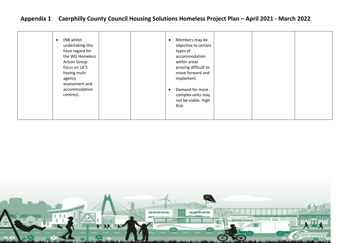| have regard for<br>types of<br>the WG Homeless<br>accommodation<br>within areas<br><b>Action Group</b><br>focus on LA'S<br>proving difficult to<br>move forward and<br>having multi<br>implement.<br>agency<br>assessment and<br>accommodation<br>Demand for more<br>complex units may<br>centres).<br>not be viable. High<br>Risk | (NB whilst<br>$\bullet$<br>undertaking this | Members may be<br>objective to certain |  |  |
|------------------------------------------------------------------------------------------------------------------------------------------------------------------------------------------------------------------------------------------------------------------------------------------------------------------------------------|---------------------------------------------|----------------------------------------|--|--|
|------------------------------------------------------------------------------------------------------------------------------------------------------------------------------------------------------------------------------------------------------------------------------------------------------------------------------------|---------------------------------------------|----------------------------------------|--|--|

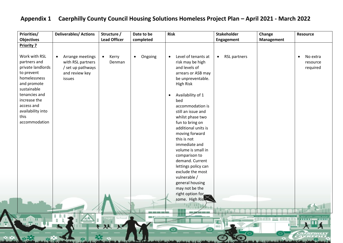| Priorities/                                                                                                                                                                                                 | <b>Deliverables/ Actions</b>                                                                        | Structure /                  | Date to be           | <b>Risk</b>                                                                                                                                                                                                                                                                                                                                                                                                                                                                     | <b>Stakeholder</b>               | Change            | <b>Resource</b>                               |
|-------------------------------------------------------------------------------------------------------------------------------------------------------------------------------------------------------------|-----------------------------------------------------------------------------------------------------|------------------------------|----------------------|---------------------------------------------------------------------------------------------------------------------------------------------------------------------------------------------------------------------------------------------------------------------------------------------------------------------------------------------------------------------------------------------------------------------------------------------------------------------------------|----------------------------------|-------------------|-----------------------------------------------|
| <b>Objectives</b>                                                                                                                                                                                           |                                                                                                     | <b>Lead Officer</b>          | completed            |                                                                                                                                                                                                                                                                                                                                                                                                                                                                                 | Engagement                       | <b>Management</b> |                                               |
| <b>Priority 7</b>                                                                                                                                                                                           |                                                                                                     |                              |                      |                                                                                                                                                                                                                                                                                                                                                                                                                                                                                 |                                  |                   |                                               |
| Work with RSL<br>partners and<br>private landlords<br>to prevent<br>homelessness<br>and promote<br>sustainable<br>tenancies and<br>increase the<br>access and<br>availability into<br>this<br>accommodation | Arrange meetings<br>$\bullet$<br>with RSL partners<br>/ set up pathways<br>and review key<br>issues | Kerry<br>$\bullet$<br>Denman | Ongoing<br>$\bullet$ | Level of tenants at<br>$\bullet$<br>risk may be high<br>and levels of<br>arrears or ASB may<br>be unpreventable.<br><b>High Risk</b><br>Availability of 1<br>$\bullet$<br>bed<br>accommodation is<br>still an issue and<br>whilst phase two<br>fun to bring on<br>additional units is<br>moving forward<br>this is not<br>immediate and<br>volume is small in<br>comparison to<br>demand. Current<br>lettings policy can<br>exclude the most<br>vulnerable /<br>general housing | <b>RSL partners</b><br>$\bullet$ |                   | No extra<br>$\bullet$<br>resource<br>required |
|                                                                                                                                                                                                             |                                                                                                     |                              |                      | may not be the<br>right option for                                                                                                                                                                                                                                                                                                                                                                                                                                              |                                  |                   |                                               |
|                                                                                                                                                                                                             |                                                                                                     |                              |                      | some. High Risk                                                                                                                                                                                                                                                                                                                                                                                                                                                                 |                                  |                   |                                               |
| .                                                                                                                                                                                                           |                                                                                                     | School<br>双火                 |                      |                                                                                                                                                                                                                                                                                                                                                                                                                                                                                 |                                  | (東部城東部 四三 城田野城東部  | 3111111                                       |
|                                                                                                                                                                                                             |                                                                                                     |                              |                      |                                                                                                                                                                                                                                                                                                                                                                                                                                                                                 |                                  |                   |                                               |

program and the second program a ground in the theory

 $\overline{\mathbf{A}}$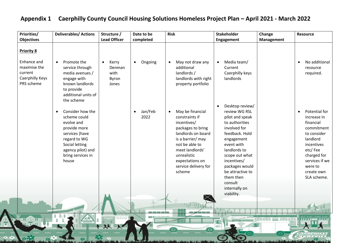| <b>Priorities/</b>                                                                           | <b>Deliverables/Actions</b>                                                                                                                                                                      | Structure /                                            | Date to be                   | <b>Risk</b>                                                                                                                                                                                                                             | <b>Stakeholder</b>                                                                                                                                                                                                                                   | Change            | <b>Resource</b>                                                                                                                                                                                   |
|----------------------------------------------------------------------------------------------|--------------------------------------------------------------------------------------------------------------------------------------------------------------------------------------------------|--------------------------------------------------------|------------------------------|-----------------------------------------------------------------------------------------------------------------------------------------------------------------------------------------------------------------------------------------|------------------------------------------------------------------------------------------------------------------------------------------------------------------------------------------------------------------------------------------------------|-------------------|---------------------------------------------------------------------------------------------------------------------------------------------------------------------------------------------------|
| <b>Objectives</b>                                                                            |                                                                                                                                                                                                  | <b>Lead Officer</b>                                    | completed                    |                                                                                                                                                                                                                                         | Engagement                                                                                                                                                                                                                                           | <b>Management</b> |                                                                                                                                                                                                   |
| <b>Priority 8</b><br>Enhance and<br>maximise the<br>current<br>Caerphilly Keys<br>PRS scheme | Promote the<br>service through<br>media avenues /<br>engage with<br>known landlords<br>to provide<br>additional units of                                                                         | Kerry<br>$\bullet$<br>Denman<br>with<br>Byron<br>Jones | Ongoing<br>$\bullet$         | May not draw any<br>$\bullet$<br>additional<br>landlords /<br>landlords with right<br>property portfolio                                                                                                                                | Media team/<br>$\bullet$<br>Current<br>Caerphilly keys<br>landlords                                                                                                                                                                                  |                   | No additional<br>$\bullet$<br>resource<br>required.                                                                                                                                               |
|                                                                                              | the scheme<br>Consider how the<br>$\bullet$<br>scheme could<br>evolve and<br>provide more<br>services (have<br>regard to WG<br>Social letting<br>agency pilot) and<br>bring services in<br>house |                                                        | Jan/Feb<br>$\bullet$<br>2022 | May be financial<br>$\bullet$<br>constraints if<br>incentives/<br>packages to bring<br>landlords on board<br>is a barrier/ may<br>not be able to<br>meet landlords'<br>unrealistic<br>expectations on<br>service delivery for<br>scheme | Desktop review/<br>$\bullet$<br>review WG RSL<br>pilot and speak<br>to authorities<br>involved for<br>feedback. Hold<br>engagement<br>event with<br>landlords to<br>scope out what<br>incentives/<br>packages would<br>be attractive to<br>them then |                   | Potential for<br>$\bullet$<br>increase in<br>financial<br>commitment<br>to consider<br>landlord<br>incentives<br>etc/Fee<br>charged for<br>services if we<br>were to<br>create own<br>SLA scheme. |
|                                                                                              |                                                                                                                                                                                                  | School                                                 |                              |                                                                                                                                                                                                                                         | consult<br>internally on<br>viability.                                                                                                                                                                                                               |                   |                                                                                                                                                                                                   |
|                                                                                              |                                                                                                                                                                                                  | 双义                                                     |                              |                                                                                                                                                                                                                                         |                                                                                                                                                                                                                                                      | (柴罗毛蛋罗 三三 毛膜罗毛膜炎  |                                                                                                                                                                                                   |

 $\lambda$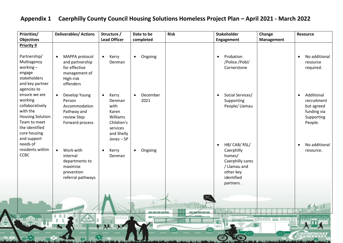| Priorities/<br><b>Objectives</b>                                                                                                                    | <b>Deliverables/ Actions</b>                                                                               | Structure /<br><b>Lead Officer</b>                                                                            | Date to be<br>completed       | <b>Risk</b> | <b>Stakeholder</b><br>Engagement                                                                                               | Change<br><b>Management</b> | <b>Resource</b>                                                                              |
|-----------------------------------------------------------------------------------------------------------------------------------------------------|------------------------------------------------------------------------------------------------------------|---------------------------------------------------------------------------------------------------------------|-------------------------------|-------------|--------------------------------------------------------------------------------------------------------------------------------|-----------------------------|----------------------------------------------------------------------------------------------|
| <b>Priority 9</b>                                                                                                                                   |                                                                                                            |                                                                                                               |                               |             |                                                                                                                                |                             |                                                                                              |
| Partnership/<br>Multiagency<br>working $-$<br>engage<br>stakeholders<br>and key partner<br>agencies to                                              | MAPPA protocol<br>$\bullet$<br>and partnership<br>for effective<br>management of<br>High-risk<br>offenders | Kerry<br>$\bullet$<br>Denman                                                                                  | Ongoing<br>$\bullet$          |             | Probation<br>$\bullet$<br>/Police /Pobl/<br>Cornerstone                                                                        |                             | No additional<br>$\bullet$<br>resource<br>required.                                          |
| ensure we are<br>working<br>collaboratively<br>with the<br><b>Housing Solution</b><br>Team to meet<br>the identified<br>core housing<br>and support | Develop Young<br>$\bullet$<br>Person<br>Accommodation<br>Pathway and<br>review Step<br>Forward process     | Kerry<br>$\bullet$<br>Denman<br>with<br>Karen<br>Williams<br>Children's<br>services<br>and Shelly<br>Jones-SP | December<br>$\bullet$<br>2021 |             | Social Services/<br>$\bullet$<br>Supporting<br>People/ Llamau                                                                  |                             | Additional<br>$\bullet$<br>recruitment<br>but agreed<br>funding via<br>Supporting<br>People. |
| needs of<br>residents within<br>CCBC                                                                                                                | Work with<br>$\bullet$<br>internal<br>departments to<br>maximise<br>prevention<br>referral pathways        | Kerry<br>$\bullet$<br>Denman                                                                                  | Ongoing<br>$\bullet$          |             | HB/ CAB/ RSL/<br>$\bullet$<br>Caerphilly<br>homes/<br>Caerphilly cares<br>/ Llamau and<br>other key<br>identified<br>partners. |                             | No additional<br>$\bullet$<br>resource.                                                      |
| <b>H</b> H H                                                                                                                                        |                                                                                                            | School<br>双火                                                                                                  |                               |             |                                                                                                                                | <b>BREER HIS EERER</b>      | <b><i><u>BILLER</u></i></b>                                                                  |

**ANGEL AND LINE OF LINE**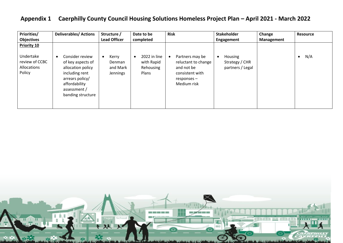| Priorities/                             | <b>Deliverables/Actions</b>                                                                                                       | Structure /                    | Date to be                       | <b>Risk</b>                                                                           | <b>Stakeholder</b>                 | Change     | <b>Resource</b> |
|-----------------------------------------|-----------------------------------------------------------------------------------------------------------------------------------|--------------------------------|----------------------------------|---------------------------------------------------------------------------------------|------------------------------------|------------|-----------------|
| <b>Objectives</b>                       |                                                                                                                                   | <b>Lead Officer</b>            | completed                        |                                                                                       | Engagement                         | Management |                 |
| Priority 10<br>Undertake                | Consider review<br>$\bullet$                                                                                                      | Kerry<br>$\bullet$             | 2022 in line                     | Partners may be<br>$\bullet$                                                          | Housing                            |            | N/A             |
| review of CCBC<br>Allocations<br>Policy | of key aspects of<br>allocation policy<br>including rent<br>arrears policy/<br>affordability<br>assessment /<br>banding structure | Denman<br>and Mark<br>Jennings | with Rapid<br>Rehousing<br>Plans | reluctant to change<br>and not be<br>consistent with<br>$responents -$<br>Medium risk | Strategy / CHR<br>partners / Legal |            |                 |

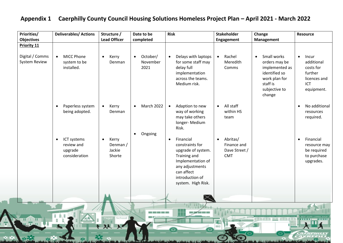| <b>Priorities/</b>                      | <b>Deliverables/ Actions</b>                                       | Structure /<br><b>Lead Officer</b>                 | Date to be                                | <b>Risk</b>                                                                                                                                                                    | <b>Stakeholder</b>                                                  | Change                                                                                                                               | <b>Resource</b>                                                                                      |
|-----------------------------------------|--------------------------------------------------------------------|----------------------------------------------------|-------------------------------------------|--------------------------------------------------------------------------------------------------------------------------------------------------------------------------------|---------------------------------------------------------------------|--------------------------------------------------------------------------------------------------------------------------------------|------------------------------------------------------------------------------------------------------|
| <b>Objectives</b><br><b>Priority 11</b> |                                                                    |                                                    | completed                                 |                                                                                                                                                                                | Engagement                                                          | <b>Management</b>                                                                                                                    |                                                                                                      |
| Digital / Comms<br><b>System Review</b> | <b>MICC Phone</b><br>$\bullet$<br>system to be<br>installed.       | Kerry<br>$\bullet$<br>Denman                       | October/<br>$\bullet$<br>November<br>2021 | Delays with laptops<br>$\bullet$<br>for some staff may<br>delay full<br>implementation<br>across the teams.<br>Medium risk.                                                    | Rachel<br>$\bullet$<br>Meredith<br>Comms                            | Small works<br>$\bullet$<br>orders may be<br>implemented as<br>identified so<br>work plan for<br>staff is<br>subjective to<br>change | Incur<br>$\bullet$<br>additional<br>costs for<br>further<br>licences and<br><b>ICT</b><br>equipment. |
|                                         | Paperless system<br>$\bullet$<br>being adopted.                    | Kerry<br>$\bullet$<br>Denman                       | March 2022                                | Adaption to new<br>$\bullet$<br>way of working<br>may take others<br>longer-Medium<br>Risk.                                                                                    | All staff<br>$\bullet$<br>within HS<br>team                         |                                                                                                                                      | No additional<br>$\bullet$<br>resources<br>required.                                                 |
|                                         | ICT systems<br>$\bullet$<br>review and<br>upgrade<br>consideration | Kerry<br>$\bullet$<br>Denman /<br>Jackie<br>Shorte | Ongoing                                   | Financial<br>$\bullet$<br>constraints for<br>upgrade of system.<br>Training and<br>Implementation of<br>any adjustments<br>can affect<br>introduction of<br>system. High Risk. | Abritas/<br>$\bullet$<br>Finance and<br>Dave Street /<br><b>CMT</b> |                                                                                                                                      | Financial<br>$\bullet$<br>resource may<br>be required<br>to purchase<br>upgrades.                    |
|                                         |                                                                    | 双火                                                 | <b>The Color</b>                          | $\sim$ $\sim$ $\sim$ $\sim$                                                                                                                                                    | (ev)                                                                | (南国氏重新 三二 任用复原面部                                                                                                                     |                                                                                                      |

**ANGEL ANGELIA CA** 

**AND INTERNATIONAL** 

 $\overline{\Lambda}$